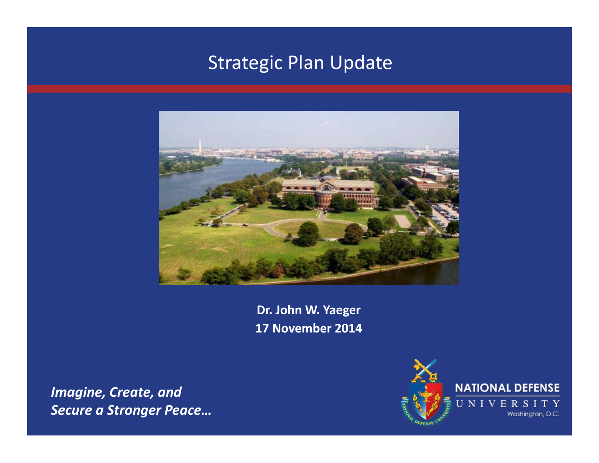#### Strategic Plan Update



**Dr. John W. Yaeger 17 November 2014**

*Imagine, Create, and Secure a Stronger Peace…*

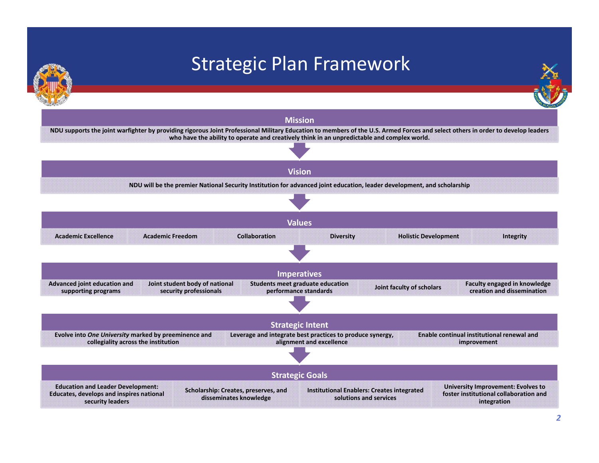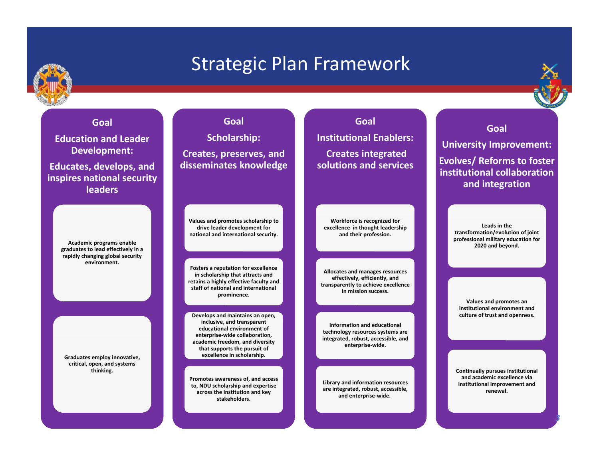

#### Strategic Plan Framework



**Education and Leader Development: Educates, develops, and inspires national security leaders**

**Goal**

**Academic programs enable graduates to lead effectively in <sup>a</sup> rapidly changing global security environment.**

**Graduates employ innovative, critical, open, and systems thinking.**

**GoalScholarship: Creates, preserves, and disseminates knowledge**

**Values and promotes scholarship to drive leader development for national and international security.**

**PRESENT EXECUTES THE EXECUTE IS NAMED IN THE EXECUTE OF THE EXECUTE IS A <b>PRESENT OF THE EXECUTE IS A PRESENT OF THE EXECUTE IS A PRESENT OF THE EXECUTE OF THE EXECUTE OF THE EXECUTE IS A <b>PRESENT OF THE EXECUTE IS A Fosters a reputation for excellence in scholarship that attracts and staff of national and international prominence.**

**DATE Develops and maintains an open, inclusive, and transparent educational environment of enterprise‐wide collaboration, academic freedom, and diversity that supports the pursuit of excellence in scholarship.**

**Promotes awareness of, and access to, NDU scholarship and expertise across the institution and key stakeholders.**

**Institutional Enablers:Creates integrated solutions and services**

**Goal**

**Workforce is recognized for excellence in thought leadership and their profession.**

**Allocates and manages resources effectively, efficiently, and transparently to achieve excellence in mission success.**

**Information and educational technology resources systems are integrated, robust, accessible, and enterprise‐wide.**

**Library and information resources are integrated, robust, accessible, and enterprise‐wide.**

**institutional collaborationand integration**

**Leads in the transformation/evolution of joint professional military education for 2020 and beyond.**

**Values and promotes an institutional environment andculture of trust and openness.**

**Continually pursues institutional and academic excellence via institutional improvement and renewal.**

*3*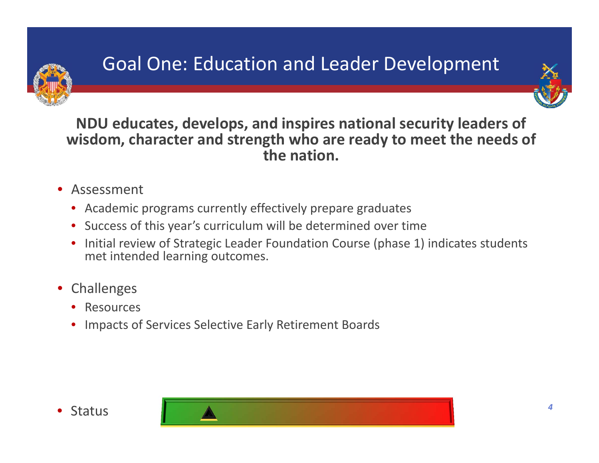

# Goal One: Education and Leader Development



**NDU educates, develops, and inspires national security leaders of wisdom, character and strength who are ready to meet the needs of the nation.**

- Assessment
	- Academic programs currently effectively prepare graduates
	- Success of this year's curriculum will be determined over time
	- Initial review of Strategic Leader Foundation Course (phase 1) indicates students met intended learning outcomes.
- Challenges
	- Resources
	- Impacts of Services Selective Early Retirement Boards



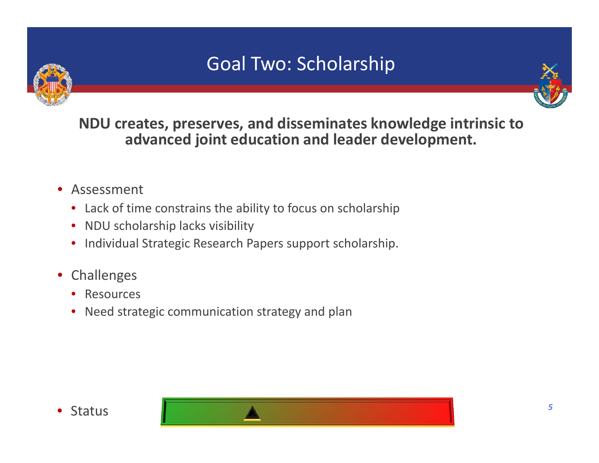# Goal Two: Scholarship



**NDU creates, preserves, and disseminates knowledge intrinsic to advanced joint education and leader development.**

- Assessment
	- Lack of time constrains the ability to focus on scholarship
	- NDU scholarship lacks visibility
	- Individual Strategic Research Papers support scholarship.
- Challenges
	- Resources
	- Need strategic communication strategy and plan



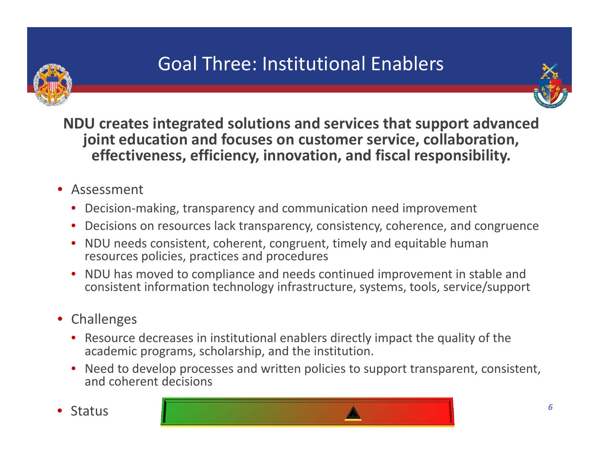

# Goal Three: Institutional Enablers



**NDU creates integrated solutions and services that support advanced joint education and focuses on customer service, collaboration, effectiveness, efficiency, innovation, and fiscal responsibility.**

- Assessment
	- Decision‐making, transparency and communication need improvement
	- Decisions on resources lack transparency, consistency, coherence, and congruence
	- NDU needs consistent, coherent, congruent, timely and equitable human resources policies, practices and procedures
	- NDU has moved to compliance and needs continued improvement in stable and consistent information technology infrastructure, systems, tools, service/support
- Challenges
	- Resource decreases in institutional enablers directly impact the quality of the academic programs, scholarship, and the institution.
	- Need to develop processes and written policies to support transparent, consistent, and coherent decisions
- 

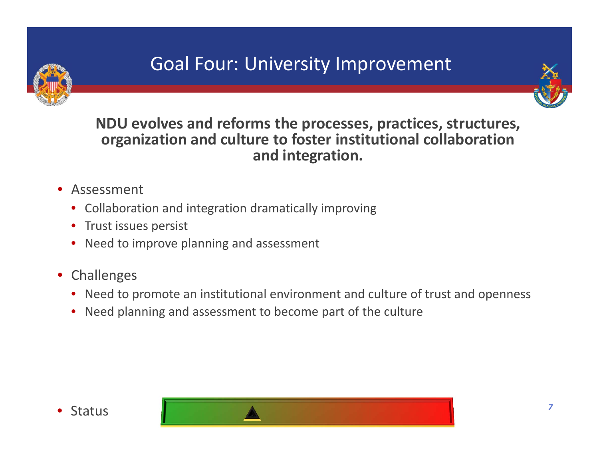

### Goal Four: University Improvement



**NDU evolves and reforms the processes, practices, structures, organization and culture to foster institutional collaboration and integration.**

- Assessment
	- Collaboration and integration dramatically improving
	- Trust issues persist
	- Need to improve planning and assessment
- Challenges
	- Need to promote an institutional environment and culture of trust and openness
	- Need planning and assessment to become part of the culture